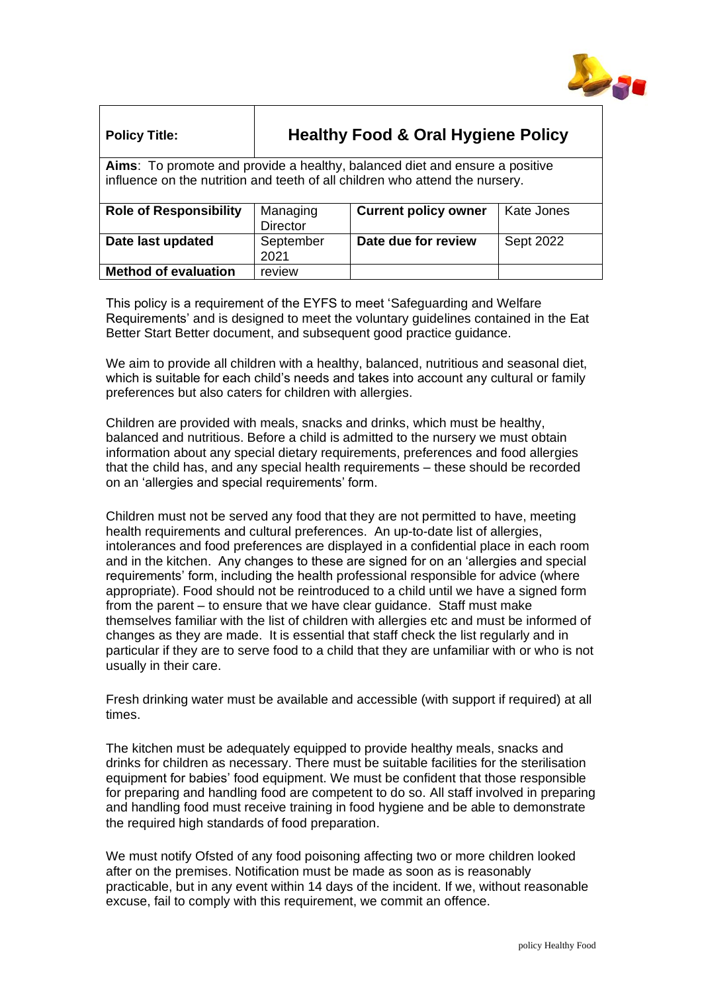

| <b>Policy Title:</b>                                                                                                                                        | <b>Healthy Food &amp; Oral Hygiene Policy</b> |                             |            |
|-------------------------------------------------------------------------------------------------------------------------------------------------------------|-----------------------------------------------|-----------------------------|------------|
| Aims: To promote and provide a healthy, balanced diet and ensure a positive<br>influence on the nutrition and teeth of all children who attend the nursery. |                                               |                             |            |
| <b>Role of Responsibility</b>                                                                                                                               | Managing<br><b>Director</b>                   | <b>Current policy owner</b> | Kate Jones |
| Date last updated                                                                                                                                           | September<br>2021                             | Date due for review         | Sept 2022  |
| <b>Method of evaluation</b>                                                                                                                                 | review                                        |                             |            |

This policy is a requirement of the EYFS to meet 'Safeguarding and Welfare Requirements' and is designed to meet the voluntary guidelines contained in the Eat Better Start Better document, and subsequent good practice quidance.

We aim to provide all children with a healthy, balanced, nutritious and seasonal diet, which is suitable for each child's needs and takes into account any cultural or family preferences but also caters for children with allergies.

Children are provided with meals, snacks and drinks, which must be healthy, balanced and nutritious. Before a child is admitted to the nursery we must obtain information about any special dietary requirements, preferences and food allergies that the child has, and any special health requirements – these should be recorded on an 'allergies and special requirements' form.

Children must not be served any food that they are not permitted to have, meeting health requirements and cultural preferences. An up-to-date list of allergies, intolerances and food preferences are displayed in a confidential place in each room and in the kitchen. Any changes to these are signed for on an 'allergies and special requirements' form, including the health professional responsible for advice (where appropriate). Food should not be reintroduced to a child until we have a signed form from the parent – to ensure that we have clear guidance. Staff must make themselves familiar with the list of children with allergies etc and must be informed of changes as they are made. It is essential that staff check the list regularly and in particular if they are to serve food to a child that they are unfamiliar with or who is not usually in their care.

Fresh drinking water must be available and accessible (with support if required) at all times.

The kitchen must be adequately equipped to provide healthy meals, snacks and drinks for children as necessary. There must be suitable facilities for the sterilisation equipment for babies' food equipment. We must be confident that those responsible for preparing and handling food are competent to do so. All staff involved in preparing and handling food must receive training in food hygiene and be able to demonstrate the required high standards of food preparation.

We must notify Ofsted of any food poisoning affecting two or more children looked after on the premises. Notification must be made as soon as is reasonably practicable, but in any event within 14 days of the incident. If we, without reasonable excuse, fail to comply with this requirement, we commit an offence.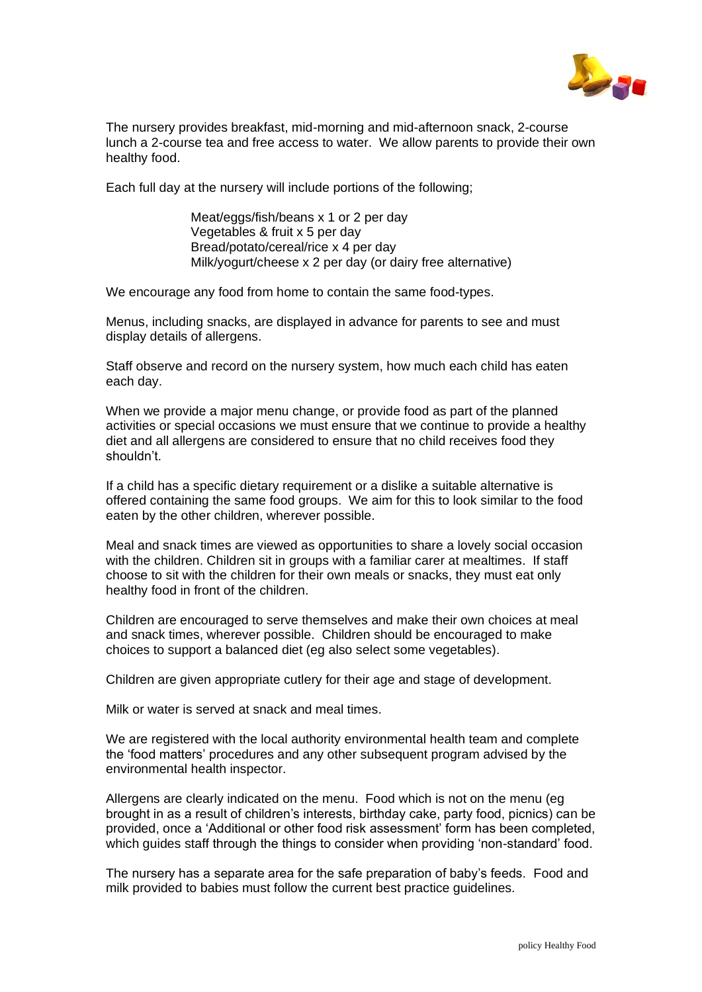

The nursery provides breakfast, mid-morning and mid-afternoon snack, 2-course lunch a 2-course tea and free access to water. We allow parents to provide their own healthy food.

Each full day at the nursery will include portions of the following;

Meat/eggs/fish/beans x 1 or 2 per day Vegetables & fruit x 5 per day Bread/potato/cereal/rice x 4 per day Milk/yogurt/cheese x 2 per day (or dairy free alternative)

We encourage any food from home to contain the same food-types.

Menus, including snacks, are displayed in advance for parents to see and must display details of allergens.

Staff observe and record on the nursery system, how much each child has eaten each day.

When we provide a major menu change, or provide food as part of the planned activities or special occasions we must ensure that we continue to provide a healthy diet and all allergens are considered to ensure that no child receives food they shouldn't.

If a child has a specific dietary requirement or a dislike a suitable alternative is offered containing the same food groups. We aim for this to look similar to the food eaten by the other children, wherever possible.

Meal and snack times are viewed as opportunities to share a lovely social occasion with the children. Children sit in groups with a familiar carer at mealtimes. If staff choose to sit with the children for their own meals or snacks, they must eat only healthy food in front of the children.

Children are encouraged to serve themselves and make their own choices at meal and snack times, wherever possible. Children should be encouraged to make choices to support a balanced diet (eg also select some vegetables).

Children are given appropriate cutlery for their age and stage of development.

Milk or water is served at snack and meal times.

We are registered with the local authority environmental health team and complete the 'food matters' procedures and any other subsequent program advised by the environmental health inspector.

Allergens are clearly indicated on the menu. Food which is not on the menu (eg brought in as a result of children's interests, birthday cake, party food, picnics) can be provided, once a 'Additional or other food risk assessment' form has been completed, which guides staff through the things to consider when providing 'non-standard' food.

The nursery has a separate area for the safe preparation of baby's feeds. Food and milk provided to babies must follow the current best practice guidelines.